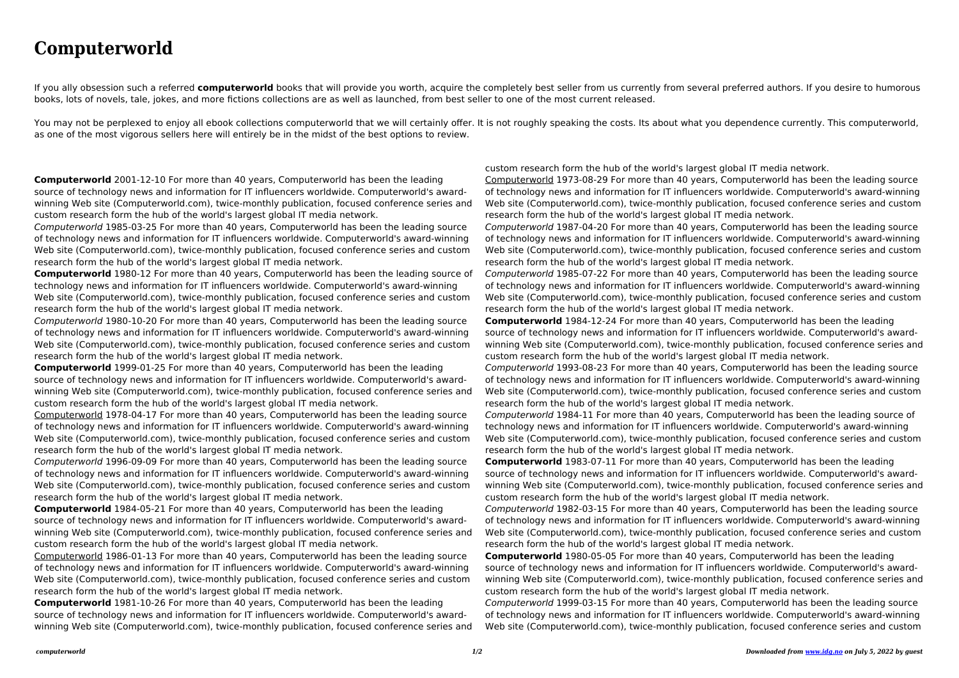## **Computerworld**

If you ally obsession such a referred **computerworld** books that will provide you worth, acquire the completely best seller from us currently from several preferred authors. If you desire to humorous books, lots of novels, tale, jokes, and more fictions collections are as well as launched, from best seller to one of the most current released.

You may not be perplexed to enjoy all ebook collections computerworld that we will certainly offer. It is not roughly speaking the costs. Its about what you dependence currently. This computerworld, as one of the most vigorous sellers here will entirely be in the midst of the best options to review.

**Computerworld** 2001-12-10 For more than 40 years, Computerworld has been the leading source of technology news and information for IT influencers worldwide. Computerworld's awardwinning Web site (Computerworld.com), twice-monthly publication, focused conference series and custom research form the hub of the world's largest global IT media network.

Computerworld 1985-03-25 For more than 40 years, Computerworld has been the leading source of technology news and information for IT influencers worldwide. Computerworld's award-winning Web site (Computerworld.com), twice-monthly publication, focused conference series and custom research form the hub of the world's largest global IT media network.

**Computerworld** 1980-12 For more than 40 years, Computerworld has been the leading source of technology news and information for IT influencers worldwide. Computerworld's award-winning Web site (Computerworld.com), twice-monthly publication, focused conference series and custom research form the hub of the world's largest global IT media network.

Computerworld 1980-10-20 For more than 40 years, Computerworld has been the leading source of technology news and information for IT influencers worldwide. Computerworld's award-winning Web site (Computerworld.com), twice-monthly publication, focused conference series and custom research form the hub of the world's largest global IT media network.

**Computerworld** 1999-01-25 For more than 40 years, Computerworld has been the leading source of technology news and information for IT influencers worldwide. Computerworld's awardwinning Web site (Computerworld.com), twice-monthly publication, focused conference series and custom research form the hub of the world's largest global IT media network.

Computerworld 1978-04-17 For more than 40 years, Computerworld has been the leading source of technology news and information for IT influencers worldwide. Computerworld's award-winning Web site (Computerworld.com), twice-monthly publication, focused conference series and custom research form the hub of the world's largest global IT media network.

Computerworld 1996-09-09 For more than 40 years, Computerworld has been the leading source of technology news and information for IT influencers worldwide. Computerworld's award-winning Web site (Computerworld.com), twice-monthly publication, focused conference series and custom research form the hub of the world's largest global IT media network.

**Computerworld** 1984-05-21 For more than 40 years, Computerworld has been the leading source of technology news and information for IT influencers worldwide. Computerworld's awardwinning Web site (Computerworld.com), twice-monthly publication, focused conference series and custom research form the hub of the world's largest global IT media network.

Computerworld 1986-01-13 For more than 40 years, Computerworld has been the leading source of technology news and information for IT influencers worldwide. Computerworld's award-winning Web site (Computerworld.com), twice-monthly publication, focused conference series and custom research form the hub of the world's largest global IT media network.

**Computerworld** 1981-10-26 For more than 40 years, Computerworld has been the leading source of technology news and information for IT influencers worldwide. Computerworld's awardwinning Web site (Computerworld.com), twice-monthly publication, focused conference series and

custom research form the hub of the world's largest global IT media network. Computerworld 1973-08-29 For more than 40 years, Computerworld has been the leading source of technology news and information for IT influencers worldwide. Computerworld's award-winning Web site (Computerworld.com), twice-monthly publication, focused conference series and custom research form the hub of the world's largest global IT media network. Computerworld 1987-04-20 For more than 40 years, Computerworld has been the leading source of technology news and information for IT influencers worldwide. Computerworld's award-winning Web site (Computerworld.com), twice-monthly publication, focused conference series and custom research form the hub of the world's largest global IT media network. Computerworld 1985-07-22 For more than 40 years, Computerworld has been the leading source of technology news and information for IT influencers worldwide. Computerworld's award-winning Web site (Computerworld.com), twice-monthly publication, focused conference series and custom research form the hub of the world's largest global IT media network. **Computerworld** 1984-12-24 For more than 40 years, Computerworld has been the leading source of technology news and information for IT influencers worldwide. Computerworld's awardwinning Web site (Computerworld.com), twice-monthly publication, focused conference series and custom research form the hub of the world's largest global IT media network. Computerworld 1993-08-23 For more than 40 years, Computerworld has been the leading source of technology news and information for IT influencers worldwide. Computerworld's award-winning Web site (Computerworld.com), twice-monthly publication, focused conference series and custom research form the hub of the world's largest global IT media network. Computerworld 1984-11 For more than 40 years, Computerworld has been the leading source of technology news and information for IT influencers worldwide. Computerworld's award-winning Web site (Computerworld.com), twice-monthly publication, focused conference series and custom research form the hub of the world's largest global IT media network. **Computerworld** 1983-07-11 For more than 40 years, Computerworld has been the leading source of technology news and information for IT influencers worldwide. Computerworld's awardwinning Web site (Computerworld.com), twice-monthly publication, focused conference series and custom research form the hub of the world's largest global IT media network. Computerworld 1982-03-15 For more than 40 years, Computerworld has been the leading source of technology news and information for IT influencers worldwide. Computerworld's award-winning Web site (Computerworld.com), twice-monthly publication, focused conference series and custom research form the hub of the world's largest global IT media network. **Computerworld** 1980-05-05 For more than 40 years, Computerworld has been the leading source of technology news and information for IT influencers worldwide. Computerworld's awardwinning Web site (Computerworld.com), twice-monthly publication, focused conference series and custom research form the hub of the world's largest global IT media network. Computerworld 1999-03-15 For more than 40 years, Computerworld has been the leading source of technology news and information for IT influencers worldwide. Computerworld's award-winning Web site (Computerworld.com), twice-monthly publication, focused conference series and custom